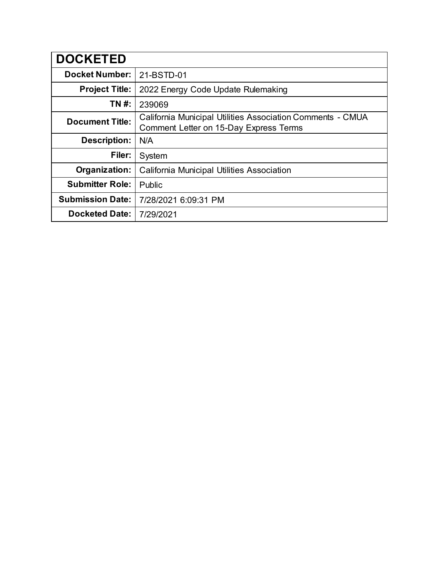| <b>DOCKETED</b>         |                                                                                                      |
|-------------------------|------------------------------------------------------------------------------------------------------|
| <b>Docket Number:</b>   | 21-BSTD-01                                                                                           |
| <b>Project Title:</b>   | 2022 Energy Code Update Rulemaking                                                                   |
| TN #:                   | 239069                                                                                               |
| <b>Document Title:</b>  | California Municipal Utilities Association Comments - CMUA<br>Comment Letter on 15-Day Express Terms |
| <b>Description:</b>     | N/A                                                                                                  |
| Filer:                  | System                                                                                               |
| Organization:           | California Municipal Utilities Association                                                           |
| <b>Submitter Role:</b>  | Public                                                                                               |
| <b>Submission Date:</b> | 7/28/2021 6:09:31 PM                                                                                 |
| <b>Docketed Date:</b>   | 7/29/2021                                                                                            |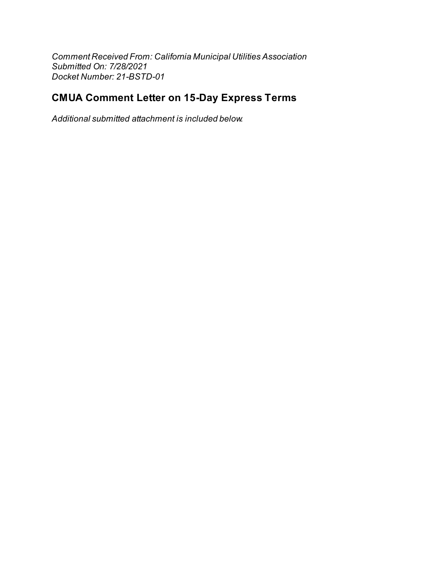Comment Received From: California Municipal Utilities Association Submitted On: 7/28/2021 Docket Number: 21-BSTD-01

# **CMUA Comment Letter on 15-Day Express Terms**

Additional submitted attachment is included below.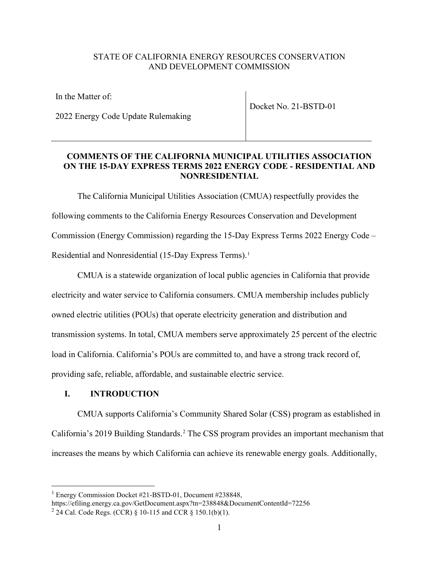## STATE OF CALIFORNIA ENERGY RESOURCES CONSERVATION AND DEVELOPMENT COMMISSION

| In the Matter of:                  | Docket No. 21-BSTD-01 |
|------------------------------------|-----------------------|
| 2022 Energy Code Update Rulemaking |                       |

## **COMMENTS OF THE CALIFORNIA MUNICIPAL UTILITIES ASSOCIATION ON THE 15-DAY EXPRESS TERMS 2022 ENERGY CODE - RESIDENTIAL AND NONRESIDENTIAL**

The California Municipal Utilities Association (CMUA) respectfully provides the following comments to the California Energy Resources Conservation and Development Commission (Energy Commission) regarding the 15-Day Express Terms 2022 Energy Code – Residential and Nonresidential (15-Day Express Terms). [1](#page-2-0)

CMUA is a statewide organization of local public agencies in California that provide electricity and water service to California consumers. CMUA membership includes publicly owned electric utilities (POUs) that operate electricity generation and distribution and transmission systems. In total, CMUA members serve approximately 25 percent of the electric load in California. California's POUs are committed to, and have a strong track record of, providing safe, reliable, affordable, and sustainable electric service.

## **I. INTRODUCTION**

CMUA supports California's Community Shared Solar (CSS) program as established in California's 2019 Building Standards. [2](#page-2-1) The CSS program provides an important mechanism that increases the means by which California can achieve its renewable energy goals. Additionally,

<span id="page-2-0"></span><sup>&</sup>lt;sup>1</sup> Energy Commission Docket #21-BSTD-01, Document #238848,

https://efiling.energy.ca.gov/GetDocument.aspx?tn=238848&DocumentContentId=72256

<span id="page-2-1"></span><sup>&</sup>lt;sup>2</sup> 24 Cal. Code Regs. (CCR)  $\S$  10-115 and CCR  $\S$  150.1(b)(1).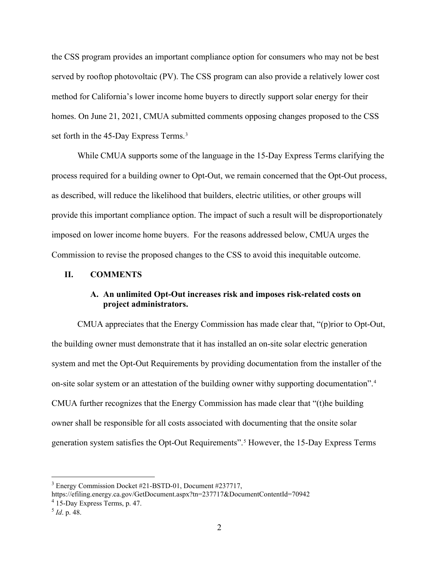the CSS program provides an important compliance option for consumers who may not be best served by rooftop photovoltaic (PV). The CSS program can also provide a relatively lower cost method for California's lower income home buyers to directly support solar energy for their homes. On June 21, 2021, CMUA submitted comments opposing changes proposed to the CSS set forth in the 45-Day Express Terms. [3](#page-3-0)

While CMUA supports some of the language in the 15-Day Express Terms clarifying the process required for a building owner to Opt-Out, we remain concerned that the Opt-Out process, as described, will reduce the likelihood that builders, electric utilities, or other groups will provide this important compliance option. The impact of such a result will be disproportionately imposed on lower income home buyers. For the reasons addressed below, CMUA urges the Commission to revise the proposed changes to the CSS to avoid this inequitable outcome.

### **II. COMMENTS**

## **A. An unlimited Opt-Out increases risk and imposes risk-related costs on project administrators.**

CMUA appreciates that the Energy Commission has made clear that, "(p)rior to Opt-Out, the building owner must demonstrate that it has installed an on-site solar electric generation system and met the Opt-Out Requirements by providing documentation from the installer of the on-site solar system or an attestation of the building owner withy supporting documentation". [4](#page-3-1) CMUA further recognizes that the Energy Commission has made clear that "(t)he building owner shall be responsible for all costs associated with documenting that the onsite solar generation system satisfies the Opt-Out Requirements". [5](#page-3-2) However, the 15-Day Express Terms

<span id="page-3-0"></span><sup>3</sup> Energy Commission Docket #21-BSTD-01, Document #237717,

https://efiling.energy.ca.gov/GetDocument.aspx?tn=237717&DocumentContentId=70942

<span id="page-3-1"></span><sup>4</sup> 15-Day Express Terms, p. 47.

<span id="page-3-2"></span><sup>5</sup> *Id*. p. 48.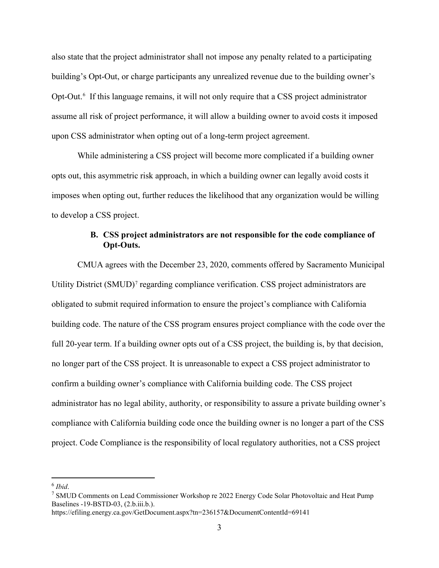also state that the project administrator shall not impose any penalty related to a participating building's Opt-Out, or charge participants any unrealized revenue due to the building owner's Opt-Out. [6](#page-4-0) If this language remains, it will not only require that a CSS project administrator assume all risk of project performance, it will allow a building owner to avoid costs it imposed upon CSS administrator when opting out of a long-term project agreement.

While administering a CSS project will become more complicated if a building owner opts out, this asymmetric risk approach, in which a building owner can legally avoid costs it imposes when opting out, further reduces the likelihood that any organization would be willing to develop a CSS project.

## **B. CSS project administrators are not responsible for the code compliance of Opt-Outs.**

CMUA agrees with the December 23, 2020, comments offered by Sacramento Municipal Utility District (SMUD)[7](#page-4-1) regarding compliance verification. CSS project administrators are obligated to submit required information to ensure the project's compliance with California building code. The nature of the CSS program ensures project compliance with the code over the full 20-year term. If a building owner opts out of a CSS project, the building is, by that decision, no longer part of the CSS project. It is unreasonable to expect a CSS project administrator to confirm a building owner's compliance with California building code. The CSS project administrator has no legal ability, authority, or responsibility to assure a private building owner's compliance with California building code once the building owner is no longer a part of the CSS project. Code Compliance is the responsibility of local regulatory authorities, not a CSS project

<span id="page-4-0"></span> $6$  *Ibid.* 

<span id="page-4-1"></span><sup>7</sup> SMUD Comments on Lead Commissioner Workshop re 2022 Energy Code Solar Photovoltaic and Heat Pump Baselines -19-BSTD-03, (2.b.iii.b.).

https://efiling.energy.ca.gov/GetDocument.aspx?tn=236157&DocumentContentId=69141